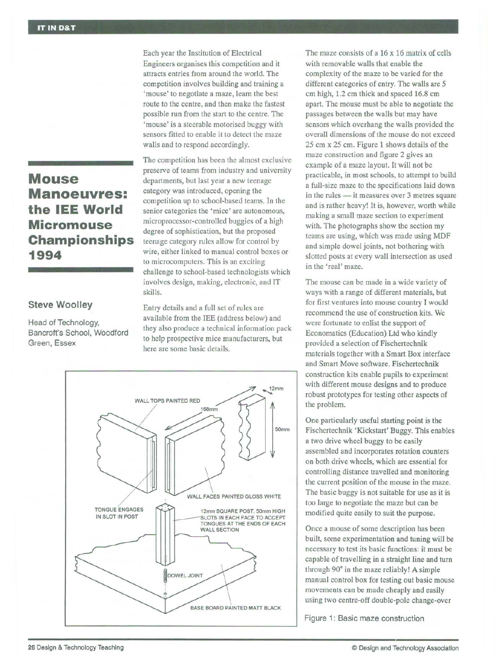## **Mouse Manoeuvres: the lEE World Micromouse Championships 1994**

## **Steve Woolley**

Head of Technology, Bancroft's School, Woodford Green, Essex

Each year the Institution of Electrical Engineers organises this competition and it attracts entries from around the world. The competition involves building and training a 'mouse' to negotiate a maze, learn the best route to the centre, and then make the fastest possible run from the start to the centre. The 'mouse' is a steerable motorised buggy with sensors fitted to enable it to detect the maze walls and to respond accordingly.

The competition has been the almost exclusive preserve of teams from industry and university departments, but last year a new teenage category was introduced, opening the competition up to school-based teams. In the senior categories the 'mice' are autonomous, microprocessor-controlled buggies of a high degree of sophistication, but the proposed teenage category rules allow for control by wire, either linked to manual control boxes or to microcomputers. This is an exciting challenge to school-based technologists which involves design, making, electronic, and IT skills.

Entry details and a full set of rules are available from the lEE (address below) and they also produce a technical information pack to help prospective mice manufacturers, but here are some basic details.



The maze consists of a 16 x 16 matrix of cells with removable walls that enable the complexity of the maze to be varied for the different categories of entry. The walls are 5 cm high, 1.2 cm thick and spaced 16.8 cm apart. The mouse must be able to negotiate the passages between the walls but may have sensors which overhang the walls provided the overall dimensions of the mouse do not exceed 25 cm x 25 cm. Figure 1 shows details of the maze construction and figure 2 gives an example of a maze layout. It will not be practicable, in most schools, to attempt to build a full-size maze to the specifications laid down in the rules - it measures over 3 metres square and is rather heavy! It is, however, worth while making a small maze section to experiment with. The photographs show the section my teams are using, which was made using MDF and simple dowel joints, not bothering with slotted posts at every wall intersection as used in the 'real' maze.

The mouse can be made in a wide variety of ways with a range of different materials, but for first ventures into mouse country I would recommend the use of construction kits. We were fortunate to enlist the support of Economatics (Education) Ltd who kindly provided a selection of Fischertechnik materials together with a Smart Box interface and Smart Move software. Fischertechnik construction kits enable pupils to experiment with different mouse designs and to produce robust prototypes for testing other aspects of the problem.

One particularly useful starting point is the Fischertechnik 'Kickstart' Buggy. This enables a two drive wheel buggy to be easily assembled and incorporates rotation counters on both drive wheels, which are essential for controlling distance travelled and monitoring the current position of the mouse in the maze. The basic buggy is not suitable for use as it is too large to negotiate the maze but can be modified quite easily to suit the purpose.

Once a mouse of some description has been built, some experimentation and tuning will be necessary to test its basic functions: it must be capable of travelling in a straight line and turn through 90° in the maze reliably! A simple manual control box for testing out basic mouse movements can be made cheaply and easily using two centre-off double-pole change-over

Figure 1: Basic maze construction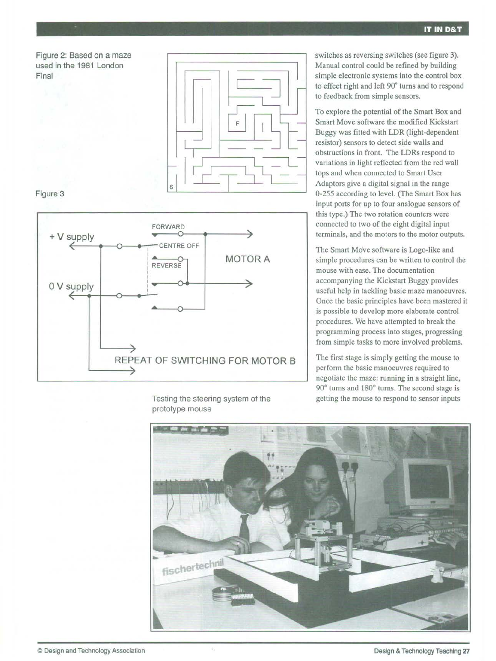



## Figure 3



resistor) sensors to detect side walls and obstructions in front. The LDRs respond to variations in light reflected from the red wall tops and when connected to Smart User Adaptors give a digital signal in the range 0-255 according to level. (The Smart Box has input ports for up to four analogue sensors of this type.) The two rotation counters were connected to two of the eight digital input

> The Smart Move software is Logo-like and simple procedures can be written to control the mouse with ease. The documentation accompanying the Kickstart Buggy provides useful help in tackling basic maze manoeuvres. Once the basic principles have been mastered it is possible to develop more elaborate control procedures. We have attempted to break the programming process into stages, progressing from simple tasks to more involved problems.

terminals, and the motors to the motor outputs.

switches as reversing switches (see figure 3). Manual control could be refined by building simple electronic systems into the control box to effect right and left 90° turns and to respond

To explore the potential of the Smart Box and Smart Move software the modified Kickstart Buggy was fitted with LDR (light-dependent

to feedback from simple sensors.

The first stage is simply getting the mouse to perform the basic manoeuvres required to negotiate the maze: running in a straight line, 90° turns and 180° turns. The second stage is getting the mouse to respond to sensor inputs



Testing the steering system of the prototype mouse

 $\alpha_2$